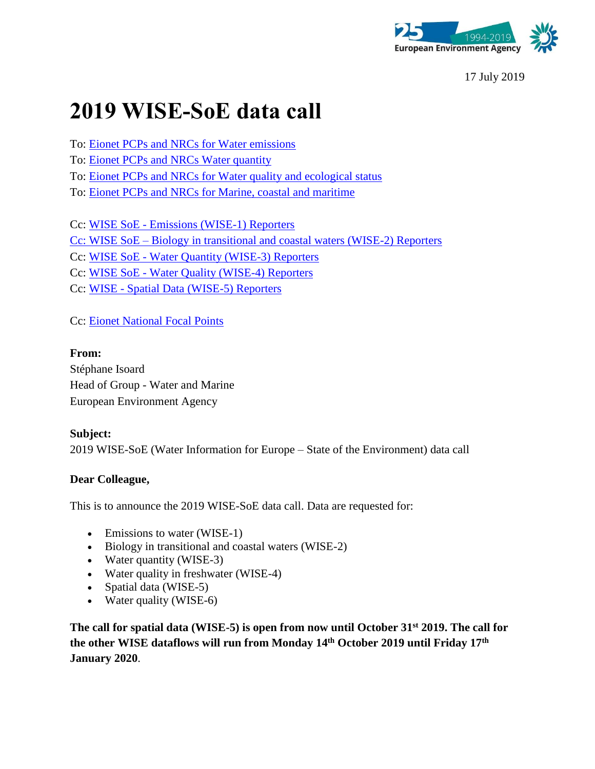

17 July 2019

# **2019 WISE-SoE data call**

To: [Eionet PCPs and NRCs for Water emissions](http://www.eionet.europa.eu/ldap-roles/?role_id=eionet-nrc-wateremissions)

To: [Eionet PCPs and NRCs Water quantity](http://www.eionet.europa.eu/ldap-roles/?role_id=eionet-nrc-waterquantity)

To: [Eionet PCPs and NRCs for Water quality and ecological status](http://www.eionet.europa.eu/ldap-roles/?role_id=eionet-nrc-waterquality)

To: [Eionet PCPs and NRCs for Marine, coastal and maritime](http://www.eionet.europa.eu/ldap-roles/?role_id=eionet-nrc-marine)

Cc: WISE SoE - [Emissions \(WISE-1\) Reporters](https://www.eionet.europa.eu/ldap-roles?role_id=reportnet-awp-wise1)

Cc: WISE SoE – [Biology in transitional and coastal waters \(WISE-2\) Reporters](https://www.eionet.europa.eu/ldap-roles?role_id=reportnet-awp-wise2)

Cc: WISE SoE - [Water Quantity \(WISE-3\) Reporters](http://www.eionet.europa.eu/ldap-roles/?role_id=reportnet-awp-wise3-reporter)

Cc: WISE SoE - [Water Quality \(WISE-4\) Reporters](http://www.eionet.europa.eu/ldap-roles/?role_id=reportnet-awp-wise4-reporter)

Cc: WISE - [Spatial Data \(WISE-5\) Reporters](https://www.eionet.europa.eu/ldap-roles?role_id=reportnet-awp-wise5)

Cc: [Eionet National Focal Points](http://www.eionet.europa.eu/ldap-roles/?role_id=eionet-nfp)

#### **From:**

Stéphane Isoard Head of Group - Water and Marine European Environment Agency

#### **Subject:**

2019 WISE-SoE (Water Information for Europe – State of the Environment) data call

#### **Dear Colleague,**

This is to announce the 2019 WISE-SoE data call. Data are requested for:

- Emissions to water (WISE-1)
- Biology in transitional and coastal waters (WISE-2)
- Water quantity (WISE-3)
- Water quality in freshwater (WISE-4)
- Spatial data (WISE-5)
- Water quality (WISE-6)

**The call for spatial data (WISE-5) is open from now until October 31st 2019. The call for the other WISE dataflows will run from Monday 14th October 2019 until Friday 17th January 2020**.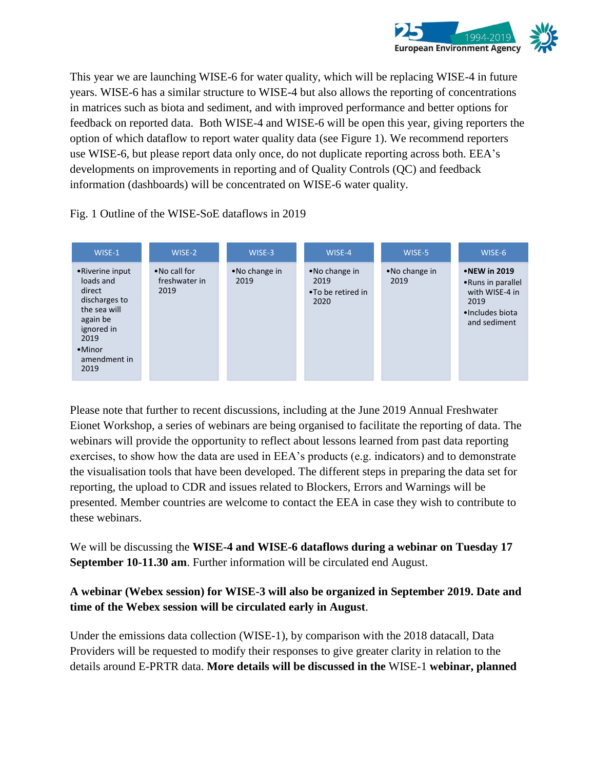

This year we are launching WISE-6 for water quality, which will be replacing WISE-4 in future years. WISE-6 has a similar structure to WISE-4 but also allows the reporting of concentrations in matrices such as biota and sediment, and with improved performance and better options for feedback on reported data. Both WISE-4 and WISE-6 will be open this year, giving reporters the option of which dataflow to report water quality data (see Figure 1). We recommend reporters use WISE-6, but please report data only once, do not duplicate reporting across both. EEA's developments on improvements in reporting and of Quality Controls (QC) and feedback information (dashboards) will be concentrated on WISE-6 water quality.

Fig. 1 Outline of the WISE-SoE dataflows in 2019



Please note that further to recent discussions, including at the June 2019 Annual Freshwater Eionet Workshop, a series of webinars are being organised to facilitate the reporting of data. The webinars will provide the opportunity to reflect about lessons learned from past data reporting exercises, to show how the data are used in EEA's products (e.g. indicators) and to demonstrate the visualisation tools that have been developed. The different steps in preparing the data set for reporting, the upload to CDR and issues related to Blockers, Errors and Warnings will be presented. Member countries are welcome to contact the EEA in case they wish to contribute to these webinars.

We will be discussing the **WISE-4 and WISE-6 dataflows during a webinar on Tuesday 17 September 10-11.30 am**. Further information will be circulated end August.

**A webinar (Webex session) for WISE-3 will also be organized in September 2019. Date and time of the Webex session will be circulated early in August**.

Under the emissions data collection (WISE-1), by comparison with the 2018 datacall, Data Providers will be requested to modify their responses to give greater clarity in relation to the details around E-PRTR data. **More details will be discussed in the** WISE-1 **webinar, planned**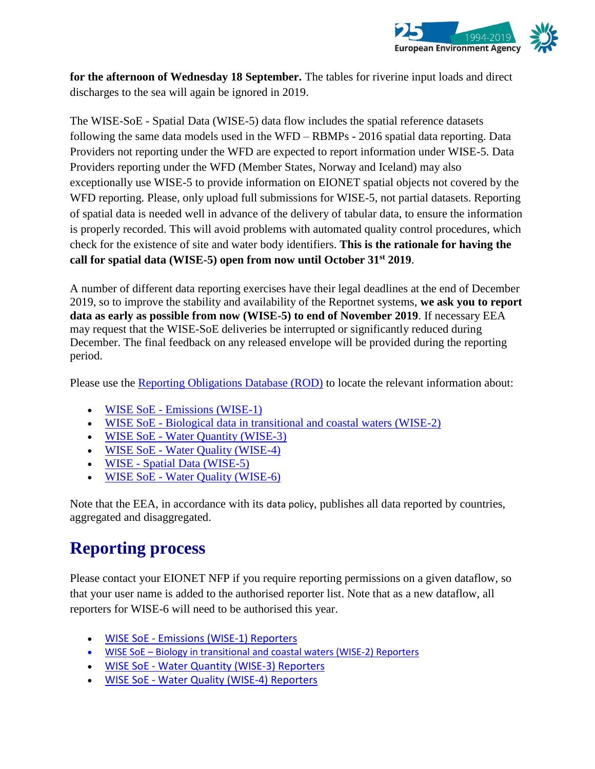

**for the afternoon of Wednesday 18 September.** The tables for riverine input loads and direct discharges to the sea will again be ignored in 2019.

The WISE-SoE - Spatial Data (WISE-5) data flow includes the spatial reference datasets following the same data models used in the WFD – RBMPs - 2016 spatial data reporting. Data Providers not reporting under the WFD are expected to report information under WISE-5. Data Providers reporting under the WFD (Member States, Norway and Iceland) may also exceptionally use WISE-5 to provide information on EIONET spatial objects not covered by the WFD reporting. Please, only upload full submissions for WISE-5, not partial datasets. Reporting of spatial data is needed well in advance of the delivery of tabular data, to ensure the information is properly recorded. This will avoid problems with automated quality control procedures, which check for the existence of site and water body identifiers. **This is the rationale for having the call for spatial data (WISE-5) open from now until October 31st 2019**.

A number of different data reporting exercises have their legal deadlines at the end of December 2019, so to improve the stability and availability of the Reportnet systems, **we ask you to report data as early as possible from now (WISE-5) to end of November 2019**. If necessary EEA may request that the WISE-SoE deliveries be interrupted or significantly reduced during December. The final feedback on any released envelope will be provided during the reporting period.

Please use the [Reporting Obligations Database \(ROD\)](http://rod.eionet.europa.eu/obligations?country=-1&id=&filter=GO&issue=15&client=3) to locate the relevant information about:

- WISE SoE [Emissions \(WISE-1\)](http://rod.eionet.europa.eu/obligations/632)
- WISE SoE [Biological data in transitional and coastal waters \(WISE-2\)](https://rod.eionet.europa.eu/obligations/630)
- WISE SoE [Water Quantity \(WISE-3\)](http://rod.eionet.europa.eu/obligations/184)
- WISE SoE [Water Quality \(WISE-4\)](http://rod.eionet.europa.eu/obligations/714)
- WISE [Spatial Data \(WISE-5\)](http://rod.eionet.europa.eu/obligations/716)
- WISE SoE [Water Quality \(WISE-6\)](http://dd.eionet.europa.eu/datasets/3363)

Note that the EEA, in accordance with its [data policy](http://www.eea.europa.eu/legal/eea-data-policy), publishes all data reported by countries, aggregated and disaggregated.

### **Reporting process**

Please contact your EIONET NFP if you require reporting permissions on a given dataflow, so that your user name is added to the authorised reporter list. Note that as a new dataflow, all reporters for WISE-6 will need to be authorised this year.

- WISE SoE [Emissions \(WISE-1\) Reporters](http://www.eionet.europa.eu/ldap-roles/?role_id=reportnet-awp-wise1-reporter)
- WISE SoE [Biology in transitional and coastal waters \(WISE-2\) Reporters](https://www.eionet.europa.eu/ldap-roles/?role_id=reportnet-awp-wise2-reporter)
- WISE SoE [Water Quantity \(WISE-3\) Reporters](http://www.eionet.europa.eu/ldap-roles/?role_id=reportnet-awp-wise3-reporter)
- WISE SoE [Water Quality \(WISE-4\) Reporters](http://www.eionet.europa.eu/ldap-roles/?role_id=reportnet-awp-wise4-reporter)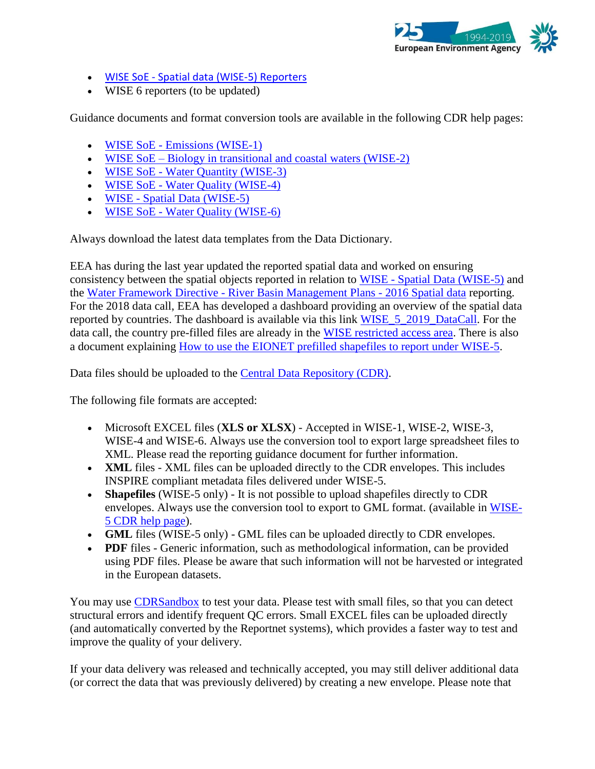

- WISE SoE [Spatial data \(WISE-5\) Reporters](http://www.eionet.europa.eu/ldap-roles/?role_id=reportnet-awp-wise5-reporter)
- WISE 6 reporters (to be updated)

Guidance documents and format conversion tools are available in the following CDR help pages:

- WISE SoE [Emissions \(WISE-1\)](http://cdr.eionet.europa.eu/help/WISE_SoE/wise1)
- WISE SoE [Biology in transitional and coastal waters \(WISE-2\)](http://cdr.eionet.europa.eu/help/WISE_SoE/wise2)
- WISE SoE [Water Quantity \(WISE-3\)](http://cdr.eionet.europa.eu/help/WISE_SoE/wise3)
- WISE SoE [Water Quality \(WISE-4\)](http://cdr.eionet.europa.eu/help/WISE_SoE/wise4)
- WISE [Spatial Data \(WISE-5\)](http://cdr.eionet.europa.eu/help/WISE_SoE/wise5)
- WISE SoE [Water Quality \(WISE-6\)](http://cdr.eionet.europa.eu/help/WISE_SoE/wise6)

Always download the latest data templates from the Data Dictionary.

EEA has during the last year updated the reported spatial data and worked on ensuring consistency between the spatial objects reported in relation to WISE - [Spatial Data \(WISE-5\)](http://cdr.eionet.europa.eu/help/WISE_SoE/wise5) and the Water Framework Directive - [River Basin Management Plans -](http://rod.eionet.europa.eu/obligations/717) 2016 Spatial data reporting. For the 2018 data call, EEA has developed a dashboard providing an overview of the spatial data reported by countries. The dashboard is available via this link [WISE\\_5\\_2019\\_DataCall.](https://tableau.discomap.eea.europa.eu/t/Wateronline/views/WISE_5_2019_DataCall/1-WhattoreportinWISE-5?) For the data call, the country pre-filled files are already in the [WISE restricted access area.](https://forum.eionet.europa.eu/x_wise-reporting/library/restricted_distribution/) There is also a document explaining How to use the EIONET prefilled [shapefiles to report under WISE-5.](http://cdr.eionet.europa.eu/help/WISE_SoE/wise5/WISE_EIONET_SpatialDataSets_InternalVersion.pdf)

Data files should be uploaded to the [Central Data Repository \(CDR\).](http://cdr.eionet.europa.eu/)

The following file formats are accepted:

- Microsoft EXCEL files (**XLS or XLSX**) Accepted in WISE-1, WISE-2, WISE-3, WISE-4 and WISE-6. Always use the conversion tool to export large spreadsheet files to XML. Please read the reporting guidance document for further information.
- **XML** files XML files can be uploaded directly to the CDR envelopes. This includes INSPIRE compliant metadata files delivered under WISE-5.
- **Shapefiles** (WISE-5 only) It is not possible to upload shapefiles directly to CDR envelopes. Always use the conversion tool to export to GML format. (available in [WISE-](http://cdr.eionet.europa.eu/help/WISE_SoE/wise5)[5 CDR help page\)](http://cdr.eionet.europa.eu/help/WISE_SoE/wise5).
- **GML** files (WISE-5 only) GML files can be uploaded directly to CDR envelopes.
- **PDF** files Generic information, such as methodological information, can be provided using PDF files. Please be aware that such information will not be harvested or integrated in the European datasets.

You may use [CDRSandbox](http://cdrsandbox.eionet.europa.eu/) to test your data. Please test with small files, so that you can detect structural errors and identify frequent QC errors. Small EXCEL files can be uploaded directly (and automatically converted by the Reportnet systems), which provides a faster way to test and improve the quality of your delivery.

If your data delivery was released and technically accepted, you may still deliver additional data (or correct the data that was previously delivered) by creating a new envelope. Please note that